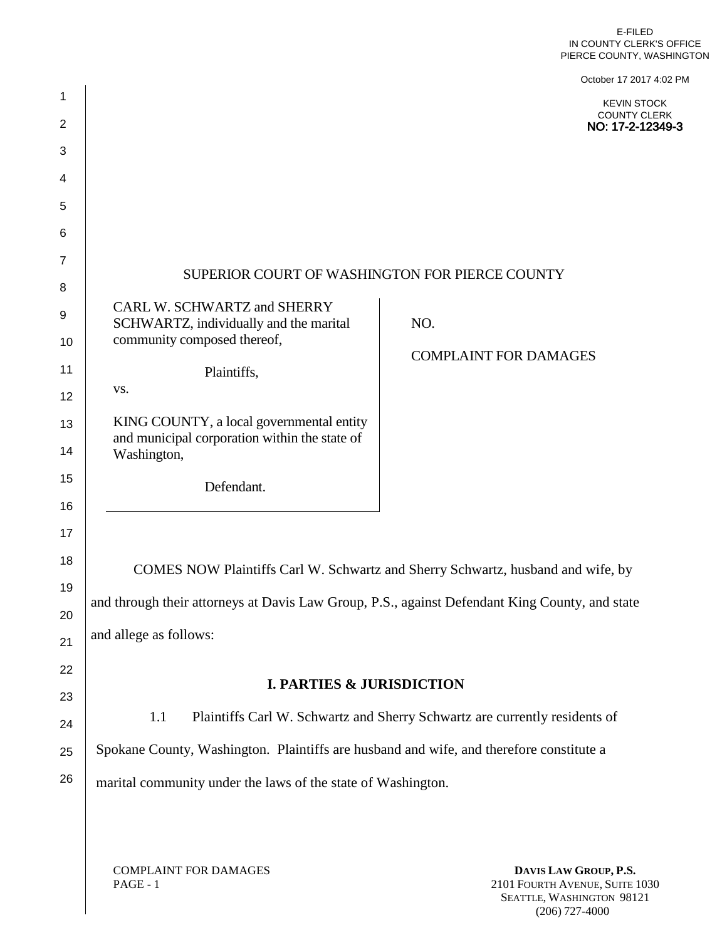|                     |                                                                                                | PIERCE COUNTY, WASHINGTON                                                  |  |
|---------------------|------------------------------------------------------------------------------------------------|----------------------------------------------------------------------------|--|
|                     |                                                                                                | October 17 2017 4:02 PM                                                    |  |
| 1<br>$\overline{2}$ |                                                                                                | <b>KEVIN STOCK</b><br><b>COUNTY CLERK</b><br>NO: 17-2-12349-3              |  |
| 3                   |                                                                                                |                                                                            |  |
| 4                   |                                                                                                |                                                                            |  |
| 5                   |                                                                                                |                                                                            |  |
| 6                   |                                                                                                |                                                                            |  |
| $\overline{7}$      |                                                                                                |                                                                            |  |
| 8                   | SUPERIOR COURT OF WASHINGTON FOR PIERCE COUNTY                                                 |                                                                            |  |
| 9                   | CARL W. SCHWARTZ and SHERRY<br>SCHWARTZ, individually and the marital                          | NO.                                                                        |  |
| 10                  | community composed thereof,                                                                    |                                                                            |  |
| 11                  | Plaintiffs,                                                                                    | <b>COMPLAINT FOR DAMAGES</b>                                               |  |
| 12                  | VS.                                                                                            |                                                                            |  |
| 13                  | KING COUNTY, a local governmental entity                                                       |                                                                            |  |
| 14                  | and municipal corporation within the state of<br>Washington,                                   |                                                                            |  |
| 15                  | Defendant.                                                                                     |                                                                            |  |
| 16                  |                                                                                                |                                                                            |  |
| 17                  |                                                                                                |                                                                            |  |
| 18                  | COMES NOW Plaintiffs Carl W. Schwartz and Sherry Schwartz, husband and wife, by                |                                                                            |  |
| 19                  |                                                                                                |                                                                            |  |
| 20                  | and through their attorneys at Davis Law Group, P.S., against Defendant King County, and state |                                                                            |  |
| 21                  | and allege as follows:                                                                         |                                                                            |  |
| 22                  |                                                                                                |                                                                            |  |
| 23                  | <b>I. PARTIES &amp; JURISDICTION</b>                                                           |                                                                            |  |
| 24                  | 1.1                                                                                            | Plaintiffs Carl W. Schwartz and Sherry Schwartz are currently residents of |  |
| 25                  | Spokane County, Washington. Plaintiffs are husband and wife, and therefore constitute a        |                                                                            |  |
| 26                  | marital community under the laws of the state of Washington.                                   |                                                                            |  |
|                     |                                                                                                |                                                                            |  |
|                     |                                                                                                |                                                                            |  |
|                     | <b>COMPLAINT FOR DAMAGES</b>                                                                   | DAVIS LAW GROUP, P.S.                                                      |  |

PAGE - 1

**DAVIS LAW GROUP, P.S.** 2101 FOURTH AVENUE, SUITE 1030 SEATTLE, WASHINGTON 98121 (206) 727-4000

E-FILED IN COUNTY CLERK'S OFFICE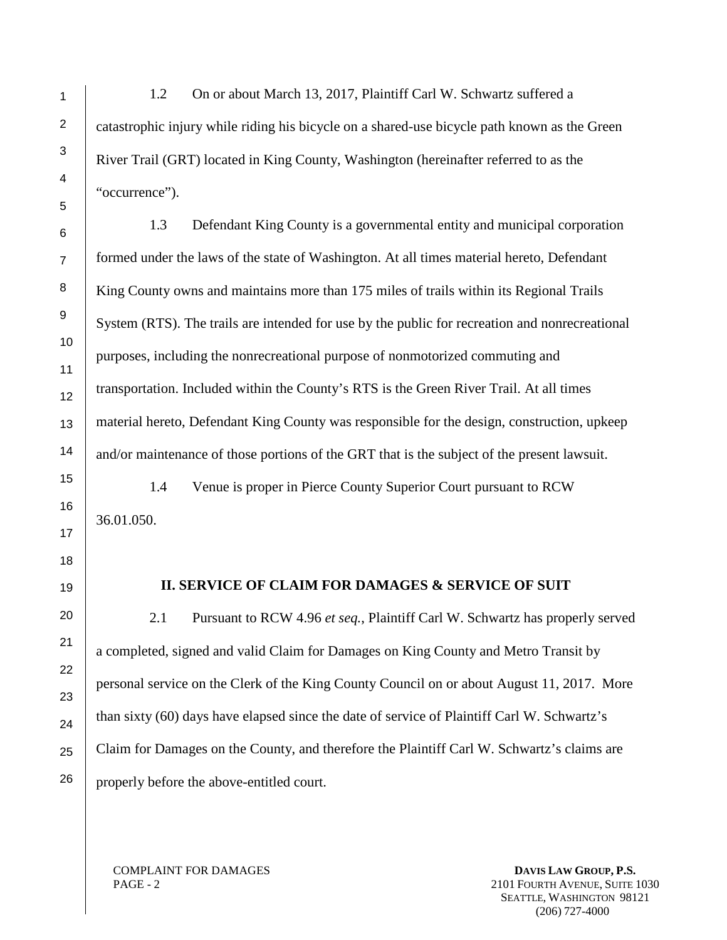1.2 On or about March 13, 2017, Plaintiff Carl W. Schwartz suffered a catastrophic injury while riding his bicycle on a shared-use bicycle path known as the Green River Trail (GRT) located in King County, Washington (hereinafter referred to as the "occurrence").

1.3 Defendant King County is a governmental entity and municipal corporation formed under the laws of the state of Washington. At all times material hereto, Defendant King County owns and maintains more than 175 miles of trails within its Regional Trails System (RTS). The trails are intended for use by the public for recreation and nonrecreational purposes, including the nonrecreational purpose of nonmotorized commuting and transportation. Included within the County's RTS is the Green River Trail. At all times material hereto, Defendant King County was responsible for the design, construction, upkeep and/or maintenance of those portions of the GRT that is the subject of the present lawsuit.

1.4 Venue is proper in Pierce County Superior Court pursuant to RCW 36.01.050.

#### **II. SERVICE OF CLAIM FOR DAMAGES & SERVICE OF SUIT**

2.1 Pursuant to RCW 4.96 *et seq.*, Plaintiff Carl W. Schwartz has properly served a completed, signed and valid Claim for Damages on King County and Metro Transit by personal service on the Clerk of the King County Council on or about August 11, 2017. More than sixty (60) days have elapsed since the date of service of Plaintiff Carl W. Schwartz's Claim for Damages on the County, and therefore the Plaintiff Carl W. Schwartz's claims are properly before the above-entitled court.

COMPLAINT FOR DAMAGES PAGE - 2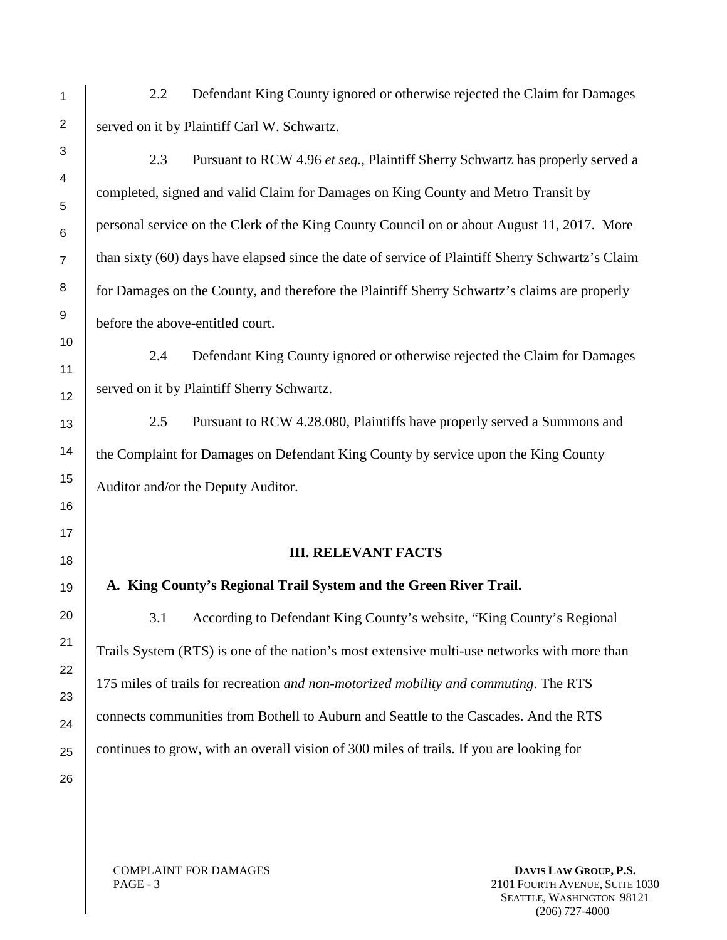- 2.2 Defendant King County ignored or otherwise rejected the Claim for Damages served on it by Plaintiff Carl W. Schwartz.
	- 2.3 Pursuant to RCW 4.96 *et seq.*, Plaintiff Sherry Schwartz has properly served a completed, signed and valid Claim for Damages on King County and Metro Transit by personal service on the Clerk of the King County Council on or about August 11, 2017. More than sixty (60) days have elapsed since the date of service of Plaintiff Sherry Schwartz's Claim for Damages on the County, and therefore the Plaintiff Sherry Schwartz's claims are properly before the above-entitled court.
	- 2.4 Defendant King County ignored or otherwise rejected the Claim for Damages served on it by Plaintiff Sherry Schwartz.
	- 2.5 Pursuant to RCW 4.28.080, Plaintiffs have properly served a Summons and the Complaint for Damages on Defendant King County by service upon the King County Auditor and/or the Deputy Auditor.

## **III. RELEVANT FACTS**

# **A. King County's Regional Trail System and the Green River Trail.**

3.1 According to Defendant King County's website, "King County's Regional Trails System (RTS) is one of the nation's most extensive multi-use networks with more than 175 miles of trails for recreation *and non-motorized mobility and commuting*. The RTS connects communities from Bothell to Auburn and Seattle to the Cascades. And the RTS continues to grow, with an overall vision of 300 miles of trails. If you are looking for

COMPLAINT FOR DAMAGES PAGE - 3

**DAVIS LAW GROUP, P.S.** 2101 FOURTH AVENUE, SUITE 1030 SEATTLE, WASHINGTON 98121 (206) 727-4000

1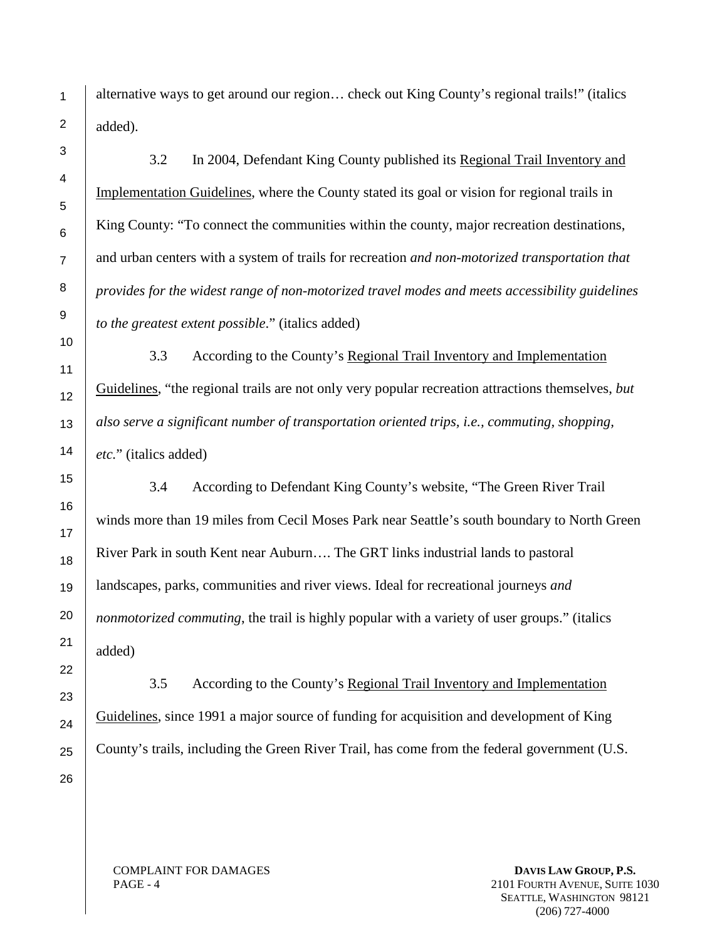alternative ways to get around our region… check out King County's regional trails!" (italics added).

3.2 In 2004, Defendant King County published its Regional Trail Inventory and Implementation Guidelines, where the County stated its goal or vision for regional trails in King County: "To connect the communities within the county, major recreation destinations, and urban centers with a system of trails for recreation *and non-motorized transportation that provides for the widest range of non-motorized travel modes and meets accessibility guidelines to the greatest extent possible*." (italics added)

3.3 According to the County's Regional Trail Inventory and Implementation Guidelines, "the regional trails are not only very popular recreation attractions themselves, *but also serve a significant number of transportation oriented trips, i.e., commuting, shopping, etc.*" (italics added)

3.4 According to Defendant King County's website, "The Green River Trail winds more than 19 miles from Cecil Moses Park near Seattle's south boundary to North Green River Park in south Kent near Auburn…. The GRT links industrial lands to pastoral landscapes, parks, communities and river views. Ideal for recreational journeys *and nonmotorized commuting*, the trail is highly popular with a variety of user groups." (italics added)

3.5 According to the County's Regional Trail Inventory and Implementation Guidelines, since 1991 a major source of funding for acquisition and development of King County's trails, including the Green River Trail, has come from the federal government (U.S.

COMPLAINT FOR DAMAGES PAGE - 4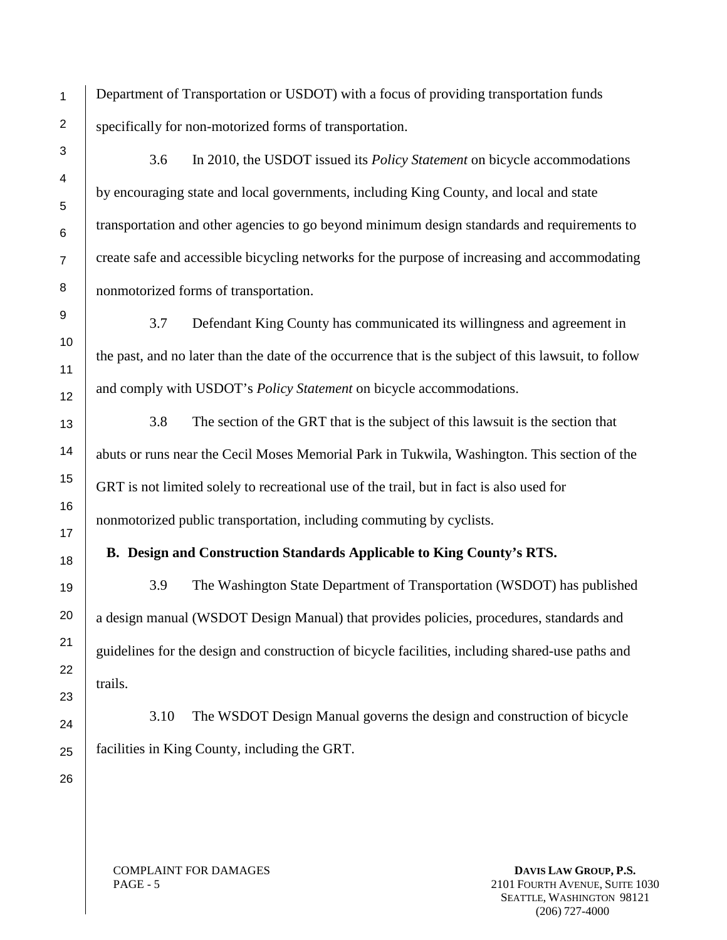Department of Transportation or USDOT) with a focus of providing transportation funds specifically for non-motorized forms of transportation.

3.6 In 2010, the USDOT issued its *Policy Statement* on bicycle accommodations by encouraging state and local governments, including King County, and local and state transportation and other agencies to go beyond minimum design standards and requirements to create safe and accessible bicycling networks for the purpose of increasing and accommodating nonmotorized forms of transportation.

3.7 Defendant King County has communicated its willingness and agreement in the past, and no later than the date of the occurrence that is the subject of this lawsuit, to follow and comply with USDOT's *Policy Statement* on bicycle accommodations.

3.8 The section of the GRT that is the subject of this lawsuit is the section that abuts or runs near the Cecil Moses Memorial Park in Tukwila, Washington. This section of the GRT is not limited solely to recreational use of the trail, but in fact is also used for nonmotorized public transportation, including commuting by cyclists.

## **B. Design and Construction Standards Applicable to King County's RTS.**

3.9 The Washington State Department of Transportation (WSDOT) has published a design manual (WSDOT Design Manual) that provides policies, procedures, standards and guidelines for the design and construction of bicycle facilities, including shared-use paths and trails.

3.10 The WSDOT Design Manual governs the design and construction of bicycle facilities in King County, including the GRT.

COMPLAINT FOR DAMAGES PAGE - 5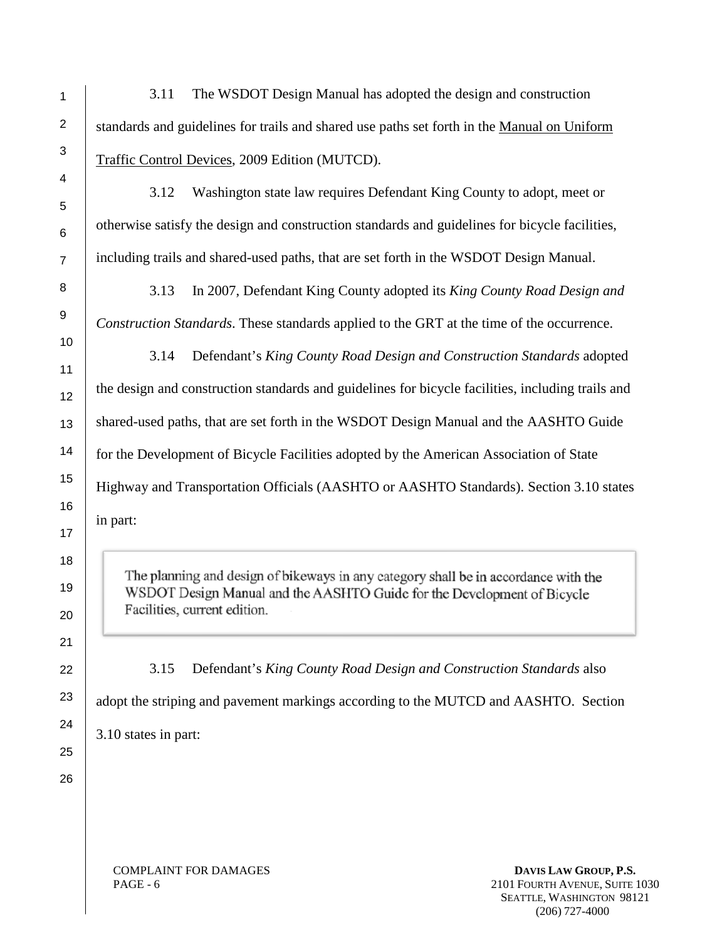3.11 The WSDOT Design Manual has adopted the design and construction standards and guidelines for trails and shared use paths set forth in the Manual on Uniform Traffic Control Devices, 2009 Edition (MUTCD).

3.12 Washington state law requires Defendant King County to adopt, meet or otherwise satisfy the design and construction standards and guidelines for bicycle facilities, including trails and shared-used paths, that are set forth in the WSDOT Design Manual.

3.13 In 2007, Defendant King County adopted its *King County Road Design and Construction Standards*. These standards applied to the GRT at the time of the occurrence.

3.14 Defendant's *King County Road Design and Construction Standards* adopted the design and construction standards and guidelines for bicycle facilities, including trails and shared-used paths, that are set forth in the WSDOT Design Manual and the AASHTO Guide for the Development of Bicycle Facilities adopted by the American Association of State Highway and Transportation Officials (AASHTO or AASHTO Standards). Section 3.10 states in part:

The planning and design of bikeways in any category shall be in accordance with the WSDOT Design Manual and the AASHTO Guide for the Development of Bicycle Facilities, current edition.

3.15 Defendant's *King County Road Design and Construction Standards* also

adopt the striping and pavement markings according to the MUTCD and AASHTO. Section 3.10 states in part:

COMPLAINT FOR DAMAGES PAGE - 6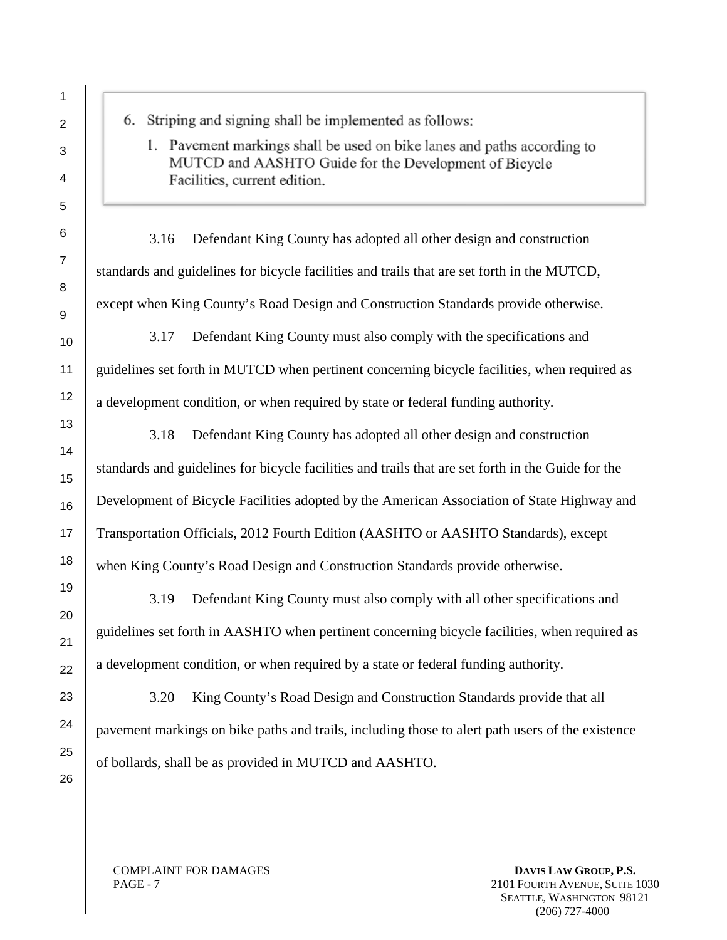6. Striping and signing shall be implemented as follows:

1. Pavement markings shall be used on bike lanes and paths according to MUTCD and AASHTO Guide for the Development of Bicycle Facilities, current edition.

3.16 Defendant King County has adopted all other design and construction standards and guidelines for bicycle facilities and trails that are set forth in the MUTCD, except when King County's Road Design and Construction Standards provide otherwise.

3.17 Defendant King County must also comply with the specifications and guidelines set forth in MUTCD when pertinent concerning bicycle facilities, when required as a development condition, or when required by state or federal funding authority.

3.18 Defendant King County has adopted all other design and construction standards and guidelines for bicycle facilities and trails that are set forth in the Guide for the Development of Bicycle Facilities adopted by the American Association of State Highway and Transportation Officials, 2012 Fourth Edition (AASHTO or AASHTO Standards), except when King County's Road Design and Construction Standards provide otherwise.

3.19 Defendant King County must also comply with all other specifications and guidelines set forth in AASHTO when pertinent concerning bicycle facilities, when required as a development condition, or when required by a state or federal funding authority.

3.20 King County's Road Design and Construction Standards provide that all pavement markings on bike paths and trails, including those to alert path users of the existence of bollards, shall be as provided in MUTCD and AASHTO.

COMPLAINT FOR DAMAGES PAGE - 7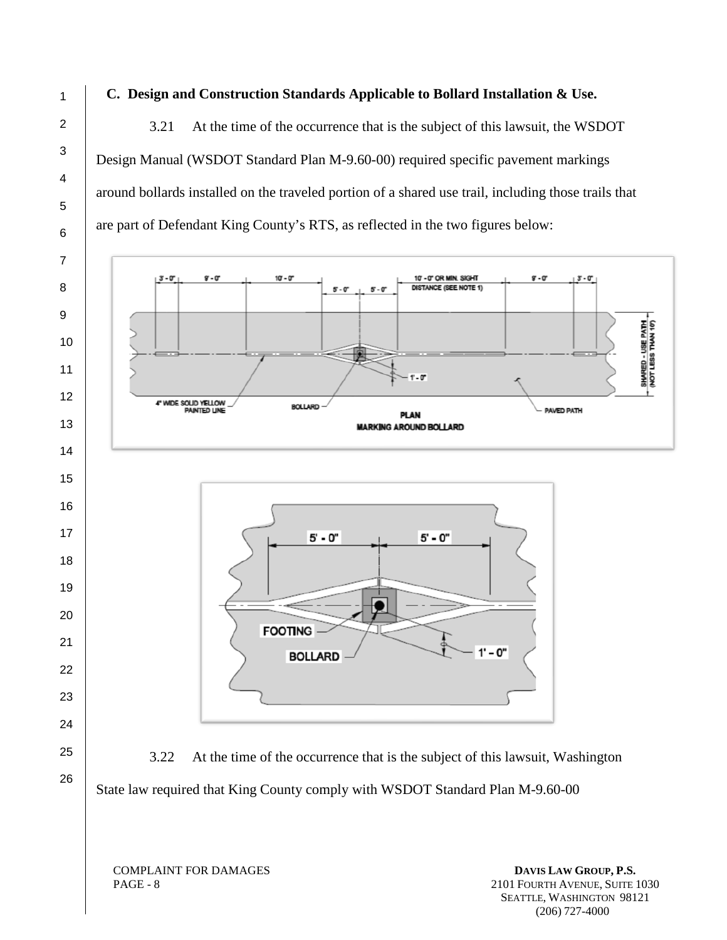# **C. Design and Construction Standards Applicable to Bollard Installation & Use.**

3.21 At the time of the occurrence that is the subject of this lawsuit, the WSDOT Design Manual (WSDOT Standard Plan M-9.60-00) required specific pavement markings around bollards installed on the traveled portion of a shared use trail, including those trails that are part of Defendant King County's RTS, as reflected in the two figures below:

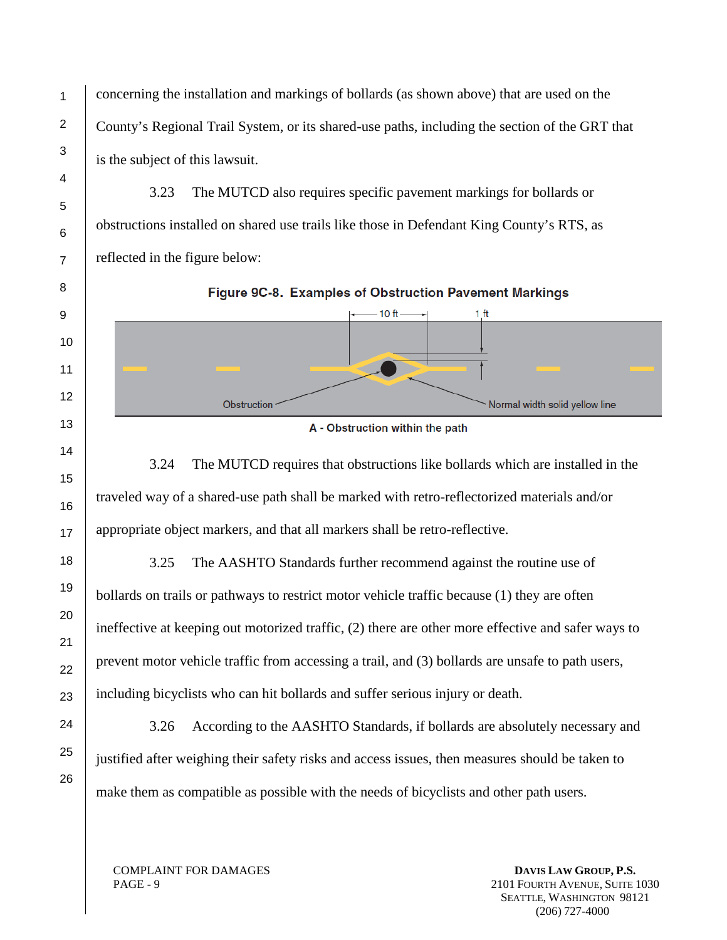concerning the installation and markings of bollards (as shown above) that are used on the County's Regional Trail System, or its shared-use paths, including the section of the GRT that is the subject of this lawsuit.

3.23 The MUTCD also requires specific pavement markings for bollards or obstructions installed on shared use trails like those in Defendant King County's RTS, as reflected in the figure below:



A - Obstruction within the path

3.24 The MUTCD requires that obstructions like bollards which are installed in the traveled way of a shared-use path shall be marked with retro-reflectorized materials and/or appropriate object markers, and that all markers shall be retro-reflective.

3.25 The AASHTO Standards further recommend against the routine use of bollards on trails or pathways to restrict motor vehicle traffic because (1) they are often ineffective at keeping out motorized traffic, (2) there are other more effective and safer ways to prevent motor vehicle traffic from accessing a trail, and (3) bollards are unsafe to path users, including bicyclists who can hit bollards and suffer serious injury or death.

3.26 According to the AASHTO Standards, if bollards are absolutely necessary and justified after weighing their safety risks and access issues, then measures should be taken to make them as compatible as possible with the needs of bicyclists and other path users.

COMPLAINT FOR DAMAGES PAGE - 9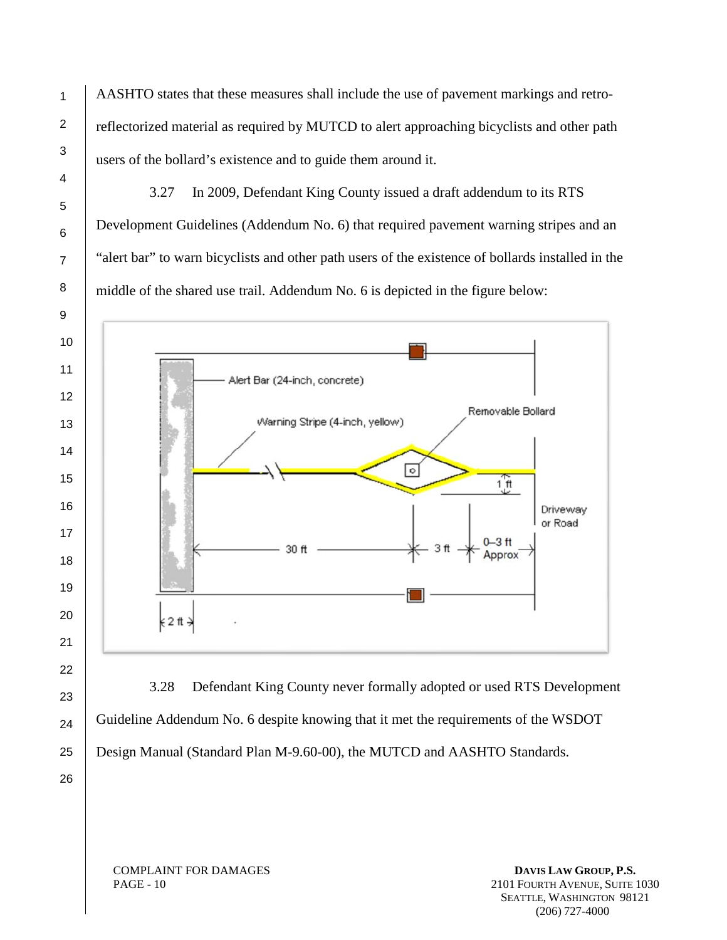AASHTO states that these measures shall include the use of pavement markings and retroreflectorized material as required by MUTCD to alert approaching bicyclists and other path users of the bollard's existence and to guide them around it.

3.27 In 2009, Defendant King County issued a draft addendum to its RTS Development Guidelines (Addendum No. 6) that required pavement warning stripes and an "alert bar" to warn bicyclists and other path users of the existence of bollards installed in the middle of the shared use trail. Addendum No. 6 is depicted in the figure below:



3.28 Defendant King County never formally adopted or used RTS Development Guideline Addendum No. 6 despite knowing that it met the requirements of the WSDOT Design Manual (Standard Plan M-9.60-00), the MUTCD and AASHTO Standards.

COMPLAINT FOR DAMAGES PAGE - 10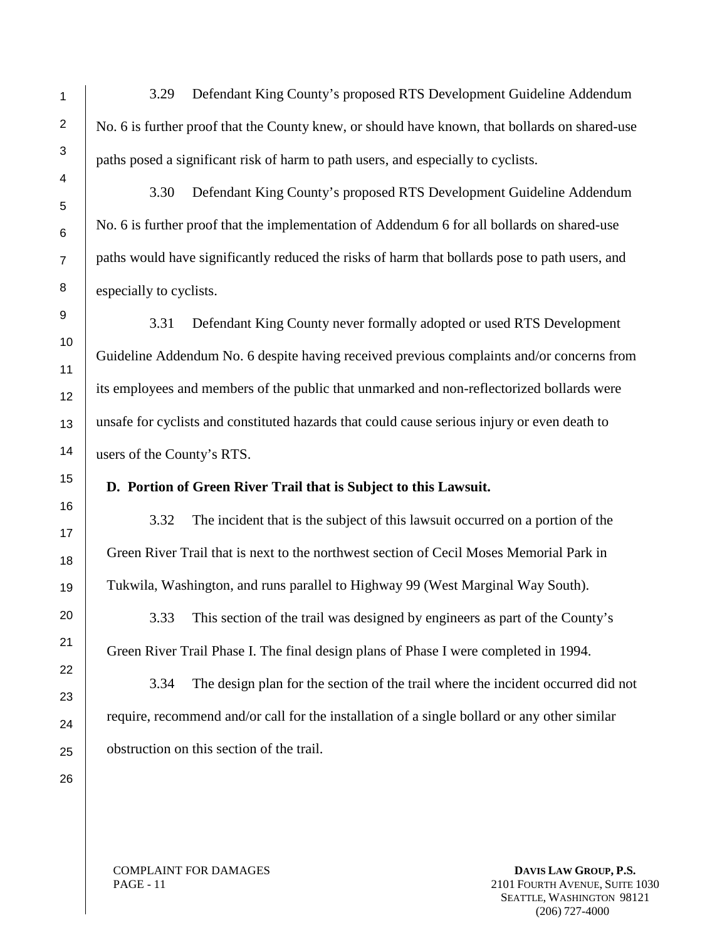3.29 Defendant King County's proposed RTS Development Guideline Addendum No. 6 is further proof that the County knew, or should have known, that bollards on shared-use paths posed a significant risk of harm to path users, and especially to cyclists.

3.30 Defendant King County's proposed RTS Development Guideline Addendum No. 6 is further proof that the implementation of Addendum 6 for all bollards on shared-use paths would have significantly reduced the risks of harm that bollards pose to path users, and especially to cyclists.

3.31 Defendant King County never formally adopted or used RTS Development Guideline Addendum No. 6 despite having received previous complaints and/or concerns from its employees and members of the public that unmarked and non-reflectorized bollards were unsafe for cyclists and constituted hazards that could cause serious injury or even death to users of the County's RTS.

#### **D. Portion of Green River Trail that is Subject to this Lawsuit.**

3.32 The incident that is the subject of this lawsuit occurred on a portion of the Green River Trail that is next to the northwest section of Cecil Moses Memorial Park in Tukwila, Washington, and runs parallel to Highway 99 (West Marginal Way South).

3.33 This section of the trail was designed by engineers as part of the County's Green River Trail Phase I. The final design plans of Phase I were completed in 1994.

3.34 The design plan for the section of the trail where the incident occurred did not require, recommend and/or call for the installation of a single bollard or any other similar obstruction on this section of the trail.

COMPLAINT FOR DAMAGES PAGE - 11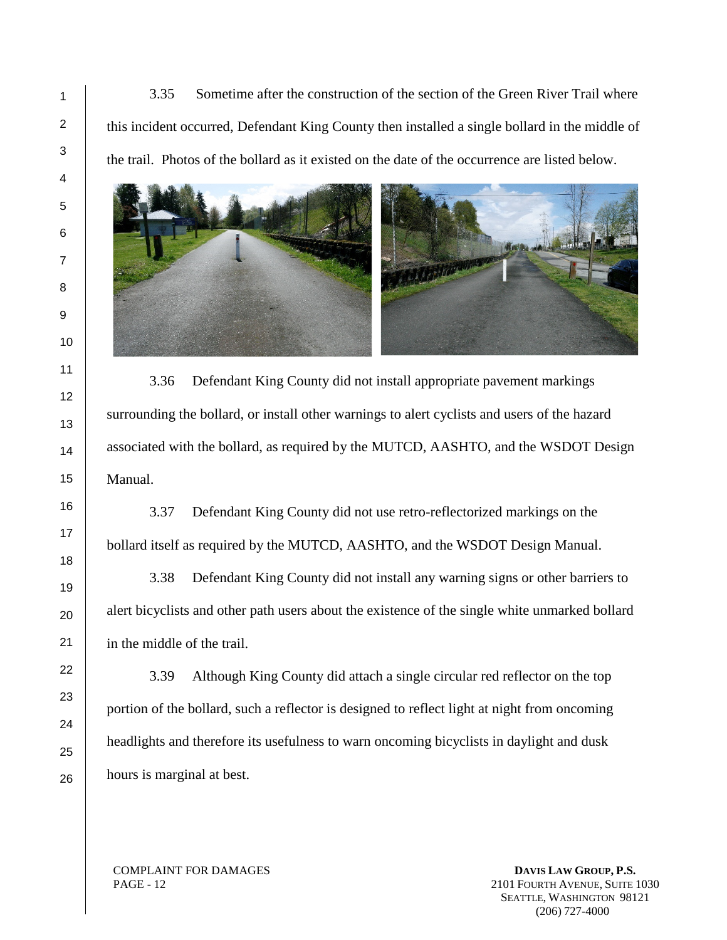3.35 Sometime after the construction of the section of the Green River Trail where this incident occurred, Defendant King County then installed a single bollard in the middle of the trail. Photos of the bollard as it existed on the date of the occurrence are listed below.



3.36 Defendant King County did not install appropriate pavement markings surrounding the bollard, or install other warnings to alert cyclists and users of the hazard associated with the bollard, as required by the MUTCD, AASHTO, and the WSDOT Design Manual.

3.37 Defendant King County did not use retro-reflectorized markings on the bollard itself as required by the MUTCD, AASHTO, and the WSDOT Design Manual.

3.38 Defendant King County did not install any warning signs or other barriers to alert bicyclists and other path users about the existence of the single white unmarked bollard in the middle of the trail.

3.39 Although King County did attach a single circular red reflector on the top portion of the bollard, such a reflector is designed to reflect light at night from oncoming headlights and therefore its usefulness to warn oncoming bicyclists in daylight and dusk hours is marginal at best.

COMPLAINT FOR DAMAGES PAGE - 12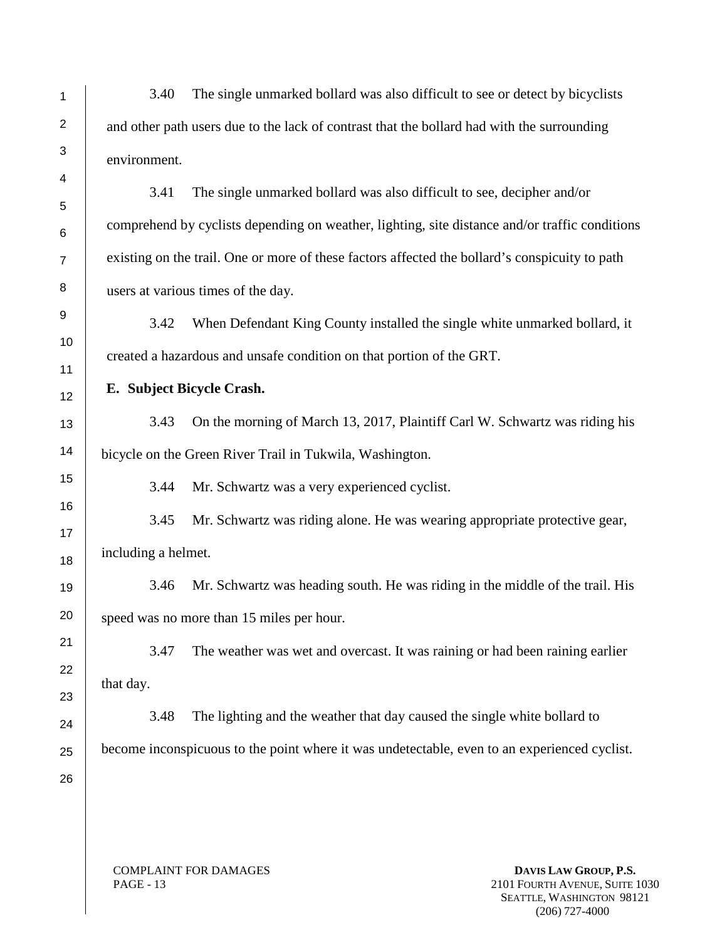3.40 The single unmarked bollard was also difficult to see or detect by bicyclists and other path users due to the lack of contrast that the bollard had with the surrounding environment.

3.41 The single unmarked bollard was also difficult to see, decipher and/or comprehend by cyclists depending on weather, lighting, site distance and/or traffic conditions existing on the trail. One or more of these factors affected the bollard's conspicuity to path users at various times of the day.

3.42 When Defendant King County installed the single white unmarked bollard, it created a hazardous and unsafe condition on that portion of the GRT.

**E. Subject Bicycle Crash.**

3.43 On the morning of March 13, 2017, Plaintiff Carl W. Schwartz was riding his bicycle on the Green River Trail in Tukwila, Washington.

3.44 Mr. Schwartz was a very experienced cyclist.

3.45 Mr. Schwartz was riding alone. He was wearing appropriate protective gear, including a helmet.

3.46 Mr. Schwartz was heading south. He was riding in the middle of the trail. His speed was no more than 15 miles per hour.

3.47 The weather was wet and overcast. It was raining or had been raining earlier that day.

3.48 The lighting and the weather that day caused the single white bollard to become inconspicuous to the point where it was undetectable, even to an experienced cyclist.

COMPLAINT FOR DAMAGES PAGE - 13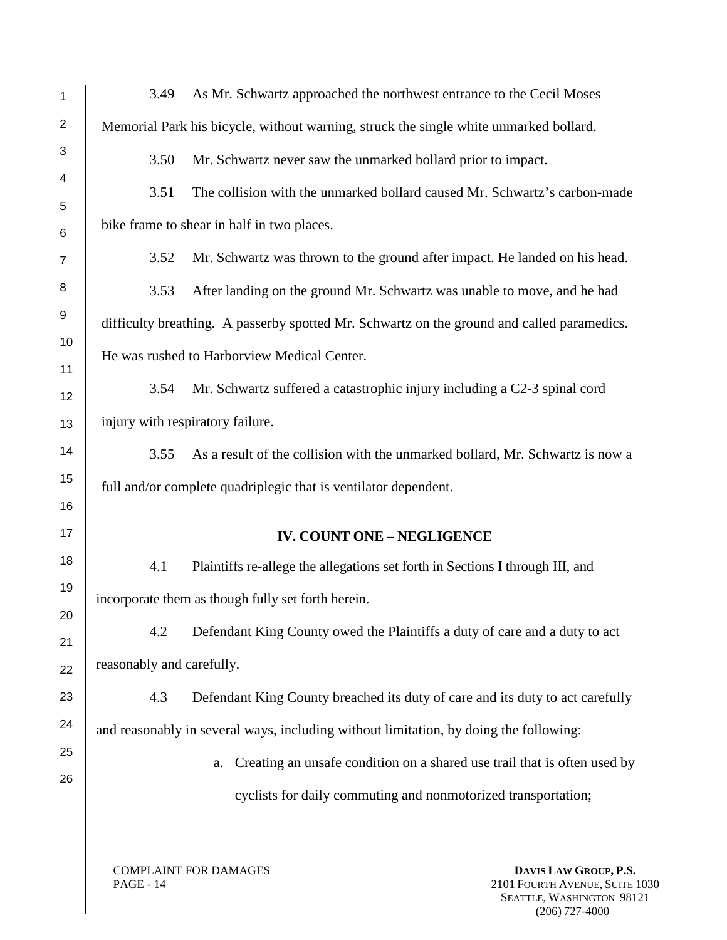| 1                       | As Mr. Schwartz approached the northwest entrance to the Cecil Moses<br>3.49               |  |
|-------------------------|--------------------------------------------------------------------------------------------|--|
| $\overline{\mathbf{c}}$ | Memorial Park his bicycle, without warning, struck the single white unmarked bollard.      |  |
| 3                       | 3.50<br>Mr. Schwartz never saw the unmarked bollard prior to impact.                       |  |
| 4                       | The collision with the unmarked bollard caused Mr. Schwartz's carbon-made<br>3.51          |  |
| 5<br>6                  | bike frame to shear in half in two places.                                                 |  |
| 7                       | Mr. Schwartz was thrown to the ground after impact. He landed on his head.<br>3.52         |  |
| 8                       | 3.53<br>After landing on the ground Mr. Schwartz was unable to move, and he had            |  |
| 9                       | difficulty breathing. A passerby spotted Mr. Schwartz on the ground and called paramedics. |  |
| 10                      | He was rushed to Harborview Medical Center.                                                |  |
| 11                      | Mr. Schwartz suffered a catastrophic injury including a C2-3 spinal cord<br>3.54           |  |
| 12<br>13                | injury with respiratory failure.                                                           |  |
|                         |                                                                                            |  |
| 14                      | As a result of the collision with the unmarked bollard, Mr. Schwartz is now a<br>3.55      |  |
| 15<br>16                | full and/or complete quadriplegic that is ventilator dependent.                            |  |
| 17                      | <b>IV. COUNT ONE - NEGLIGENCE</b>                                                          |  |
| 18                      | 4.1<br>Plaintiffs re-allege the allegations set forth in Sections I through III, and       |  |
| 19                      |                                                                                            |  |
| 20                      | incorporate them as though fully set forth herein.                                         |  |
| 21                      | 4.2<br>Defendant King County owed the Plaintiffs a duty of care and a duty to act          |  |
| 22                      | reasonably and carefully.                                                                  |  |
| 23                      | 4.3<br>Defendant King County breached its duty of care and its duty to act carefully       |  |
| 24                      | and reasonably in several ways, including without limitation, by doing the following:      |  |
| 25                      | Creating an unsafe condition on a shared use trail that is often used by<br>a.             |  |
| 26                      | cyclists for daily commuting and nonmotorized transportation;                              |  |
|                         |                                                                                            |  |

COMPLAINT FOR DAMAGES PAGE - 14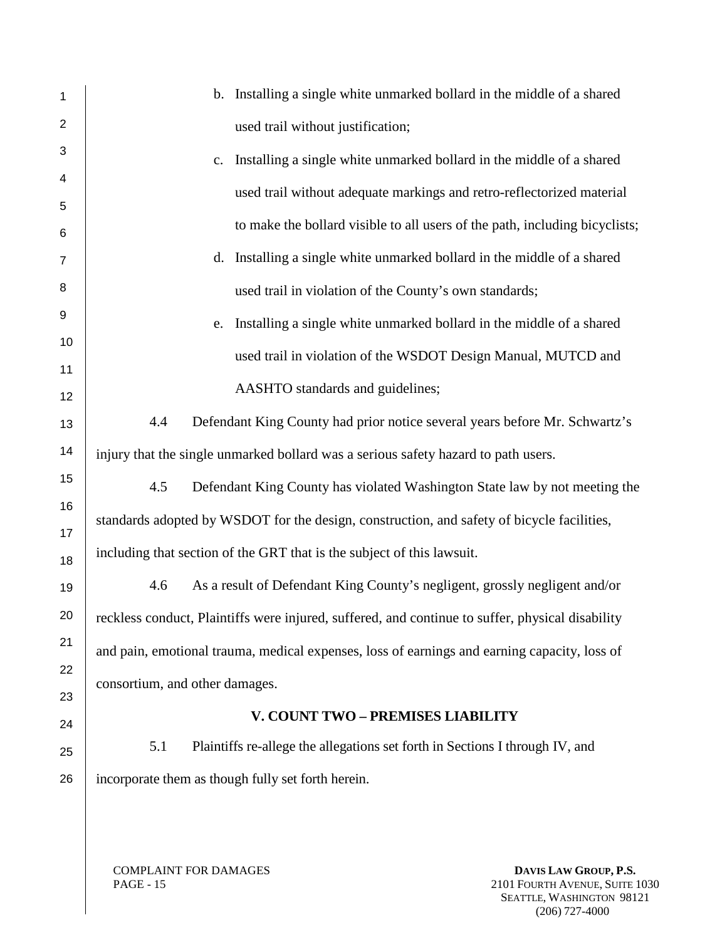| 1                   | b. Installing a single white unmarked bollard in the middle of a shared                          |  |
|---------------------|--------------------------------------------------------------------------------------------------|--|
| $\overline{2}$      | used trail without justification;                                                                |  |
| 3                   | Installing a single white unmarked bollard in the middle of a shared<br>c.                       |  |
| 4                   | used trail without adequate markings and retro-reflectorized material                            |  |
| 5                   | to make the bollard visible to all users of the path, including bicyclists;                      |  |
| 6<br>$\overline{7}$ | Installing a single white unmarked bollard in the middle of a shared<br>d.                       |  |
| 8                   |                                                                                                  |  |
| 9                   | used trail in violation of the County's own standards;                                           |  |
| 10                  | Installing a single white unmarked bollard in the middle of a shared<br>e.                       |  |
| 11                  | used trail in violation of the WSDOT Design Manual, MUTCD and                                    |  |
| 12                  | AASHTO standards and guidelines;                                                                 |  |
| 13                  | Defendant King County had prior notice several years before Mr. Schwartz's<br>4.4                |  |
| 14                  | injury that the single unmarked bollard was a serious safety hazard to path users.               |  |
| 15                  | 4.5<br>Defendant King County has violated Washington State law by not meeting the                |  |
| 16                  | standards adopted by WSDOT for the design, construction, and safety of bicycle facilities,       |  |
| 17                  |                                                                                                  |  |
| 18                  | including that section of the GRT that is the subject of this lawsuit.                           |  |
| 19                  | As a result of Defendant King County's negligent, grossly negligent and/or<br>4.6                |  |
| 20                  | reckless conduct, Plaintiffs were injured, suffered, and continue to suffer, physical disability |  |
| 21                  | and pain, emotional trauma, medical expenses, loss of earnings and earning capacity, loss of     |  |
| 22                  | consortium, and other damages.                                                                   |  |
| 23                  | V. COUNT TWO - PREMISES LIABILITY                                                                |  |
| 24                  |                                                                                                  |  |
| 25                  | Plaintiffs re-allege the allegations set forth in Sections I through IV, and<br>5.1              |  |
| 26                  | incorporate them as though fully set forth herein.                                               |  |
|                     |                                                                                                  |  |
|                     |                                                                                                  |  |

COMPLAINT FOR DAMAGES PAGE - 15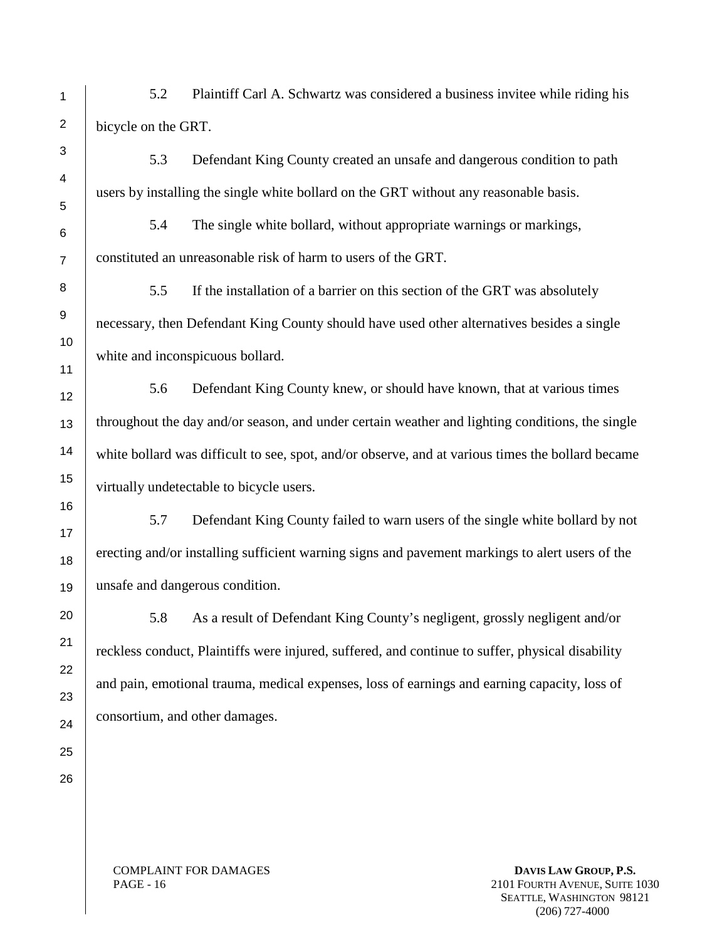5.2 Plaintiff Carl A. Schwartz was considered a business invitee while riding his bicycle on the GRT.

5.3 Defendant King County created an unsafe and dangerous condition to path users by installing the single white bollard on the GRT without any reasonable basis.

5.4 The single white bollard, without appropriate warnings or markings, constituted an unreasonable risk of harm to users of the GRT.

5.5 If the installation of a barrier on this section of the GRT was absolutely necessary, then Defendant King County should have used other alternatives besides a single white and inconspicuous bollard.

5.6 Defendant King County knew, or should have known, that at various times throughout the day and/or season, and under certain weather and lighting conditions, the single white bollard was difficult to see, spot, and/or observe, and at various times the bollard became virtually undetectable to bicycle users.

5.7 Defendant King County failed to warn users of the single white bollard by not erecting and/or installing sufficient warning signs and pavement markings to alert users of the unsafe and dangerous condition.

5.8 As a result of Defendant King County's negligent, grossly negligent and/or reckless conduct, Plaintiffs were injured, suffered, and continue to suffer, physical disability and pain, emotional trauma, medical expenses, loss of earnings and earning capacity, loss of consortium, and other damages.

COMPLAINT FOR DAMAGES PAGE - 16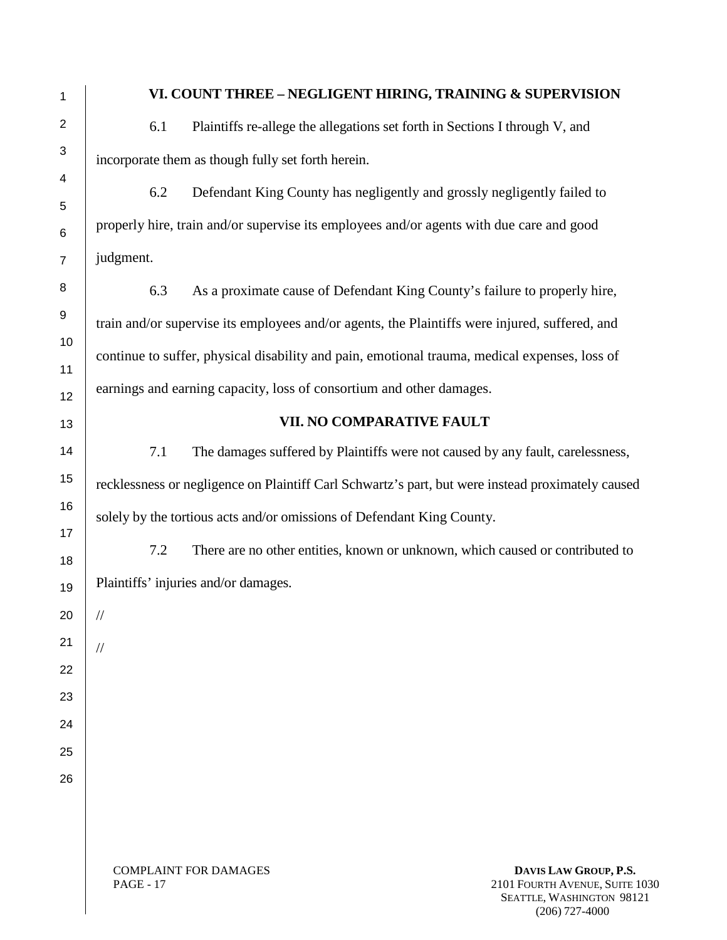## **VI. COUNT THREE – NEGLIGENT HIRING, TRAINING & SUPERVISION**

6.1 Plaintiffs re-allege the allegations set forth in Sections I through V, and incorporate them as though fully set forth herein.

6.2 Defendant King County has negligently and grossly negligently failed to properly hire, train and/or supervise its employees and/or agents with due care and good judgment.

6.3 As a proximate cause of Defendant King County's failure to properly hire, train and/or supervise its employees and/or agents, the Plaintiffs were injured, suffered, and continue to suffer, physical disability and pain, emotional trauma, medical expenses, loss of earnings and earning capacity, loss of consortium and other damages.

## **VII. NO COMPARATIVE FAULT**

7.1 The damages suffered by Plaintiffs were not caused by any fault, carelessness, recklessness or negligence on Plaintiff Carl Schwartz's part, but were instead proximately caused solely by the tortious acts and/or omissions of Defendant King County.

7.2 There are no other entities, known or unknown, which caused or contributed to Plaintiffs' injuries and/or damages.

//

//

COMPLAINT FOR DAMAGES PAGE - 17